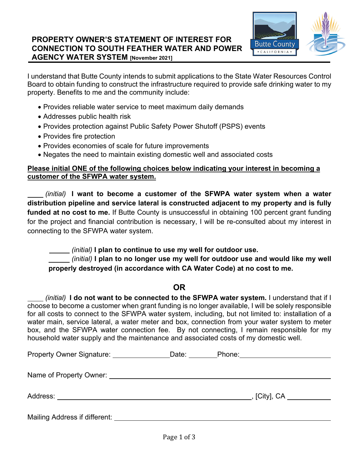

I understand that Butte County intends to submit applications to the State Water Resources Control Board to obtain funding to construct the infrastructure required to provide safe drinking water to my property. Benefits to me and the community include:

- Provides reliable water service to meet maximum daily demands
- Addresses public health risk
- Provides protection against Public Safety Power Shutoff (PSPS) events
- Provides fire protection
- Provides economies of scale for future improvements
- Negates the need to maintain existing domestic well and associated costs

### **Please initial ONE of the following choices below indicating your interest in becoming a customer of the SFWPA water system.**

 *(initial)* **I want to become a customer of the SFWPA water system when a water distribution pipeline and service lateral is constructed adjacent to my property and is fully**  funded at no cost to me. If Butte County is unsuccessful in obtaining 100 percent grant funding for the project and financial contribution is necessary, I will be re-consulted about my interest in connecting to the SFWPA water system.

 *(initial)* **I plan to continue to use my well for outdoor use.** 

 *(initial)* **I plan to no longer use my well for outdoor use and would like my well properly destroyed (in accordance with CA Water Code) at no cost to me.** 

## **OR**

 *(initial)* **I do not want to be connected to the SFWPA water system.** I understand that if I choose to become a customer when grant funding is no longer available, I will be solely responsible for all costs to connect to the SFWPA water system, including, but not limited to: installation of a water main, service lateral, a water meter and box, connection from your water system to meter box, and the SFWPA water connection fee. By not connecting, I remain responsible for my household water supply and the maintenance and associated costs of my domestic well.

| Property Owner Signature: _________             | Date: | Phone:           |  |
|-------------------------------------------------|-------|------------------|--|
| Name of Property Owner: Name of Property Owner: |       |                  |  |
| Address:                                        |       | _, [City], CA __ |  |
| Mailing Address if different:                   |       |                  |  |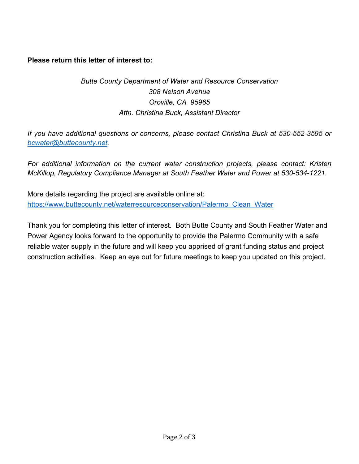**Please return this letter of interest to:** 

# *Butte County Department of Water and Resource Conservation 308 Nelson Avenue Oroville, CA 95965 Attn. Christina Buck, Assistant Director*

*If you have additional questions or concerns, please contact Christina Buck at 530-552-3595 or bcwater@buttecounty.net.* 

*For additional information on the current water construction projects, please contact: Kristen McKillop, Regulatory Compliance Manager at South Feather Water and Power at 530-534-1221.* 

More details regarding the project are available online at: https://www.buttecounty.net/waterresourceconservation/Palermo\_Clean\_Water

Thank you for completing this letter of interest. Both Butte County and South Feather Water and Power Agency looks forward to the opportunity to provide the Palermo Community with a safe reliable water supply in the future and will keep you apprised of grant funding status and project construction activities. Keep an eye out for future meetings to keep you updated on this project.